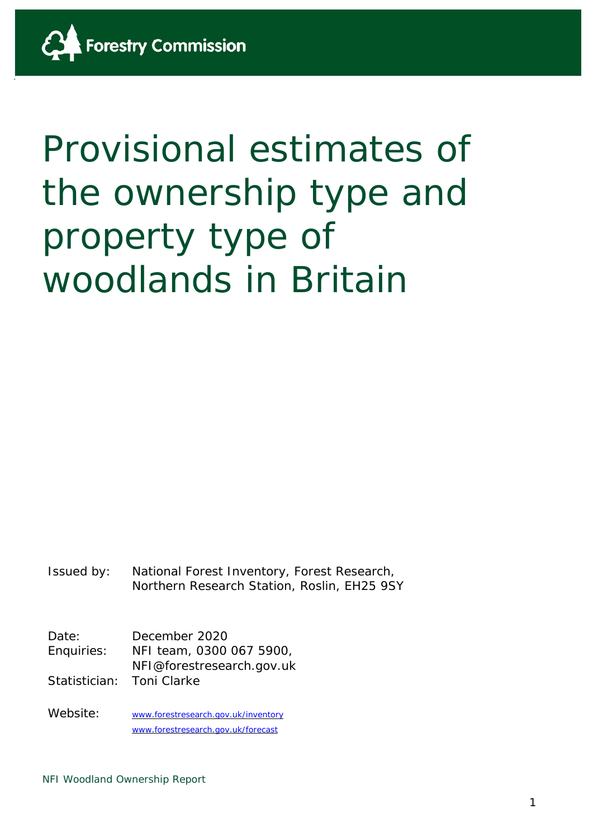# Provisional estimates of the ownership type and property type of woodlands in Britain

Issued by: National Forest Inventory, Forest Research, Northern Research Station, Roslin, EH25 9SY

Date: December 2020 Enquiries: NFI team, 0300 067 5900, NFI@forestresearch.gov.uk Statistician: Toni Clarke

Website: [www.forestresearch.gov.uk/inventory](http://www.forestresearch.gov.uk/inventory) [www.forestresearch.gov.uk/forecast](http://www.forestresearch.gov.uk/forecast)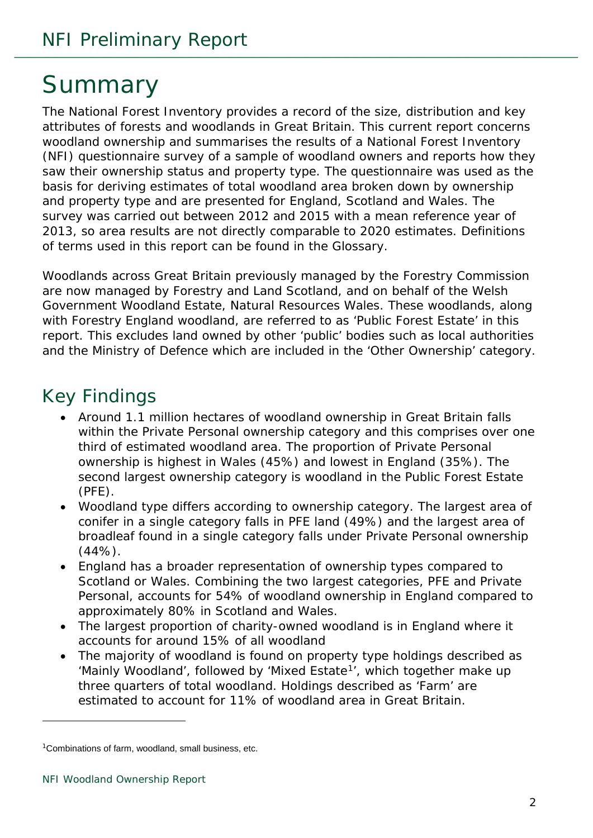# <span id="page-1-1"></span>Summary

The National Forest Inventory provides a record of the size, distribution and key attributes of forests and woodlands in Great Britain. This current report concerns woodland ownership and summarises the results of a National Forest Inventory (NFI) questionnaire survey of a sample of woodland owners and reports how they saw their ownership status and property type. The questionnaire was used as the basis for deriving estimates of total woodland area broken down by ownership and property type and are presented for England, Scotland and Wales. The survey was carried out between 2012 and 2015 with a mean reference year of 2013, so area results are not directly comparable to 2020 estimates. Definitions of terms used in this report can be found in the Glossary.

Woodlands across Great Britain previously managed by the Forestry Commission are now managed by Forestry and Land Scotland, and on behalf of the Welsh Government Woodland Estate, Natural Resources Wales. These woodlands, along with Forestry England woodland, are referred to as 'Public Forest Estate' in this report. This excludes land owned by other 'public' bodies such as local authorities and the Ministry of Defence which are included in the 'Other Ownership' category.

### <span id="page-1-2"></span>Key Findings

- Around 1.1 million hectares of woodland ownership in Great Britain falls within the Private Personal ownership category and this comprises over one third of estimated woodland area. The proportion of Private Personal ownership is highest in Wales (45%) and lowest in England (35%). The second largest ownership category is woodland in the Public Forest Estate (PFE).
- Woodland type differs according to ownership category. The largest area of conifer in a single category falls in PFE land (49%) and the largest area of broadleaf found in a single category falls under Private Personal ownership (44%).
- England has a broader representation of ownership types compared to Scotland or Wales. Combining the two largest categories, PFE and Private Personal, accounts for 54% of woodland ownership in England compared to approximately 80% in Scotland and Wales.
- The largest proportion of charity-owned woodland is in England where it accounts for around 15% of all woodland
- The majority of woodland is found on property type holdings described as 'Mainly Woodland', followed by 'Mixed Estate<sup>1</sup>', which together make up three quarters of total woodland. Holdings described as 'Farm' are estimated to account for 11% of woodland area in Great Britain.

<span id="page-1-0"></span><sup>1</sup>Combinations of farm, woodland, small business, etc.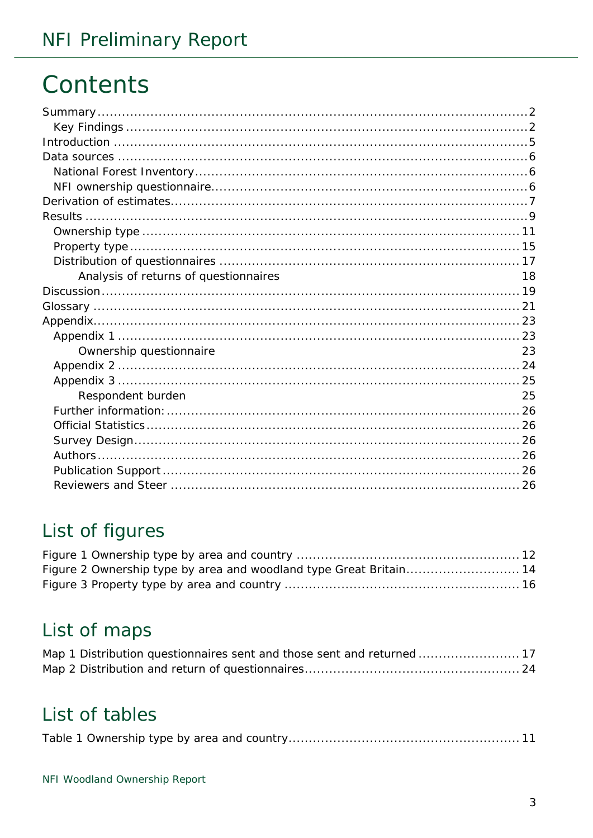# Contents

| Analysis of returns of questionnaires | 18 |
|---------------------------------------|----|
|                                       |    |
|                                       |    |
|                                       |    |
|                                       |    |
| Ownership questionnaire               | 23 |
|                                       |    |
|                                       |    |
| Respondent burden                     | 25 |
|                                       |    |
|                                       |    |
|                                       |    |
|                                       |    |
|                                       |    |
|                                       |    |
|                                       |    |

# List of figures

# List of maps

|  | Map 1 Distribution questionnaires sent and those sent and returned  17 |  |
|--|------------------------------------------------------------------------|--|
|  |                                                                        |  |

### List of tables

|--|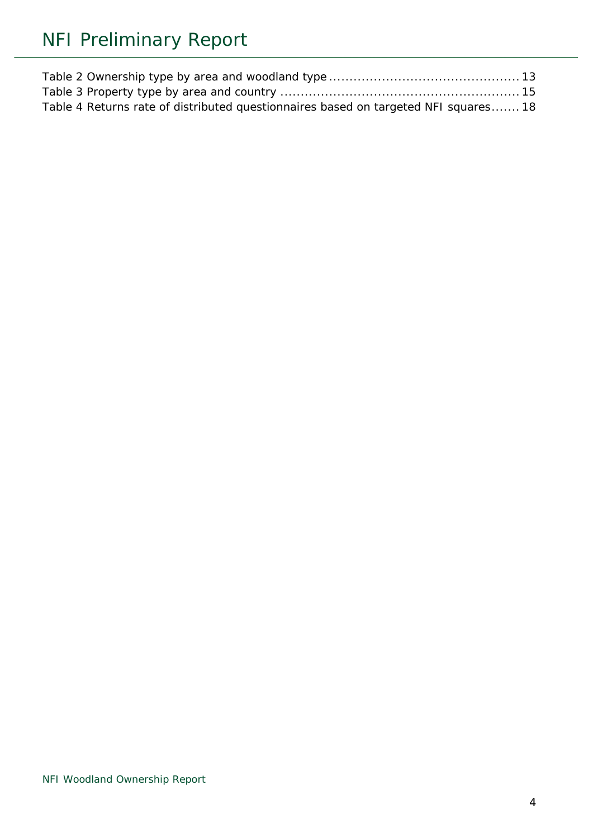| Table 4 Returns rate of distributed questionnaires based on targeted NFI squares 18 |  |
|-------------------------------------------------------------------------------------|--|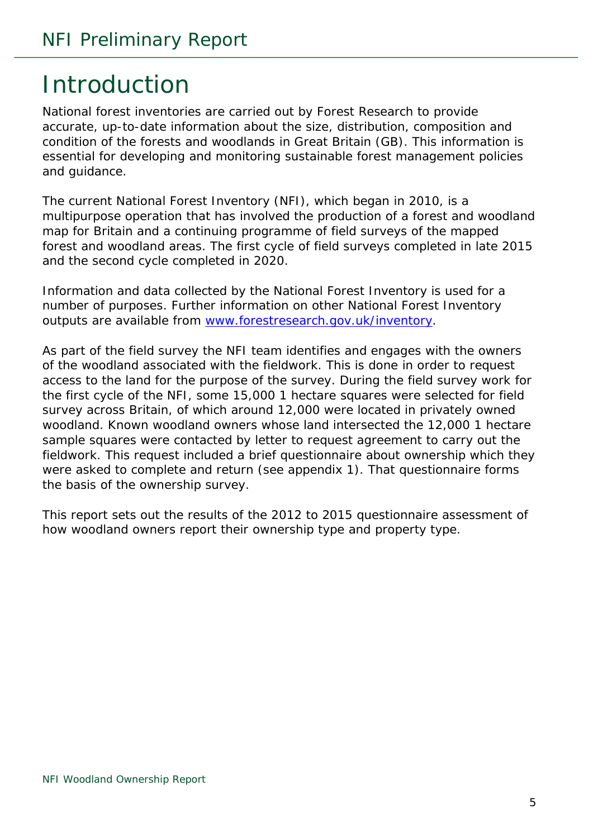# <span id="page-4-0"></span>Introduction

National forest inventories are carried out by Forest Research to provide accurate, up-to-date information about the size, distribution, composition and condition of the forests and woodlands in Great Britain (GB). This information is essential for developing and monitoring sustainable forest management policies and guidance.

The current National Forest Inventory (NFI), which began in 2010, is a multipurpose operation that has involved the production of a forest and woodland map for Britain and a continuing programme of field surveys of the mapped forest and woodland areas. The first cycle of field surveys completed in late 2015 and the second cycle completed in 2020.

Information and data collected by the National Forest Inventory is used for a number of purposes. Further information on other National Forest Inventory outputs are available from [www.forestresearch.gov.uk/inventory.](http://www.forestresearch.gov.uk/inventory)

As part of the field survey the NFI team identifies and engages with the owners of the woodland associated with the fieldwork. This is done in order to request access to the land for the purpose of the survey. During the field survey work for the first cycle of the NFI, some 15,000 1 hectare squares were selected for field survey across Britain, of which around 12,000 were located in privately owned woodland. Known woodland owners whose land intersected the 12,000 1 hectare sample squares were contacted by letter to request agreement to carry out the fieldwork. This request included a brief questionnaire about ownership which they were asked to complete and return (see appendix 1). That questionnaire forms the basis of the ownership survey.

This report sets out the results of the 2012 to 2015 questionnaire assessment of how woodland owners report their ownership type and property type.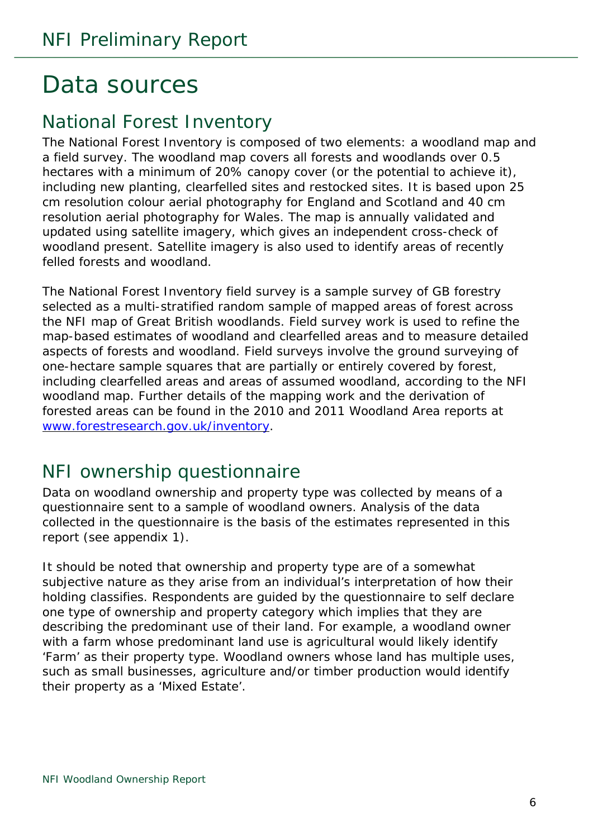# <span id="page-5-0"></span>Data sources

### <span id="page-5-1"></span>National Forest Inventory

The National Forest Inventory is composed of two elements: a woodland map and a field survey. The woodland map covers all forests and woodlands over 0.5 hectares with a minimum of 20% canopy cover (or the potential to achieve it), including new planting, clearfelled sites and restocked sites. It is based upon 25 cm resolution colour aerial photography for England and Scotland and 40 cm resolution aerial photography for Wales. The map is annually validated and updated using satellite imagery, which gives an independent cross-check of woodland present. Satellite imagery is also used to identify areas of recently felled forests and woodland.

The National Forest Inventory field survey is a sample survey of GB forestry selected as a multi-stratified random sample of mapped areas of forest across the NFI map of Great British woodlands. Field survey work is used to refine the map-based estimates of woodland and clearfelled areas and to measure detailed aspects of forests and woodland. Field surveys involve the ground surveying of one-hectare sample squares that are partially or entirely covered by forest, including clearfelled areas and areas of assumed woodland, according to the NFI woodland map. Further details of the mapping work and the derivation of forested areas can be found in the 2010 and 2011 Woodland Area reports at [www.forestresearch.gov.uk/inventory.](http://www.forestresearch.gov.uk/inventory)

### <span id="page-5-2"></span>NFI ownership questionnaire

Data on woodland ownership and property type was collected by means of a questionnaire sent to a sample of woodland owners. Analysis of the data collected in the questionnaire is the basis of the estimates represented in this report (see appendix 1).

It should be noted that ownership and property type are of a somewhat subjective nature as they arise from an individual's interpretation of how their holding classifies. Respondents are guided by the questionnaire to self declare one type of ownership and property category which implies that they are describing the predominant use of their land. For example, a woodland owner with a farm whose predominant land use is agricultural would likely identify 'Farm' as their property type. Woodland owners whose land has multiple uses, such as small businesses, agriculture and/or timber production would identify their property as a 'Mixed Estate'.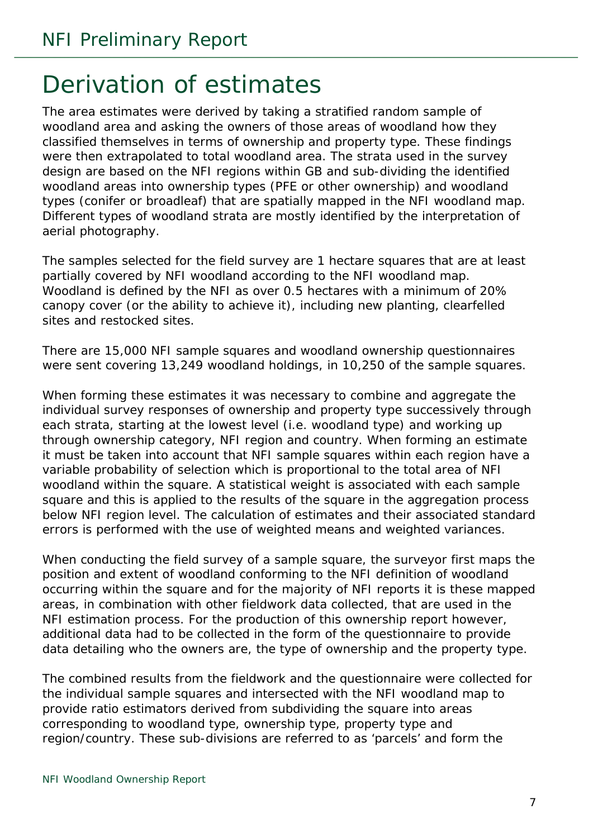# <span id="page-6-0"></span>Derivation of estimates

The area estimates were derived by taking a stratified random sample of woodland area and asking the owners of those areas of woodland how they classified themselves in terms of ownership and property type. These findings were then extrapolated to total woodland area. The strata used in the survey design are based on the NFI regions within GB and sub-dividing the identified woodland areas into ownership types (PFE or other ownership) and woodland types (conifer or broadleaf) that are spatially mapped in the NFI woodland map. Different types of woodland strata are mostly identified by the interpretation of aerial photography.

The samples selected for the field survey are 1 hectare squares that are at least partially covered by NFI woodland according to the NFI woodland map. Woodland is defined by the NFI as over 0.5 hectares with a minimum of 20% canopy cover (or the ability to achieve it), including new planting, clearfelled sites and restocked sites.

There are 15,000 NFI sample squares and woodland ownership questionnaires were sent covering 13,249 woodland holdings, in 10,250 of the sample squares.

When forming these estimates it was necessary to combine and aggregate the individual survey responses of ownership and property type successively through each strata, starting at the lowest level (i.e. woodland type) and working up through ownership category, NFI region and country. When forming an estimate it must be taken into account that NFI sample squares within each region have a variable probability of selection which is proportional to the total area of NFI woodland within the square. A statistical weight is associated with each sample square and this is applied to the results of the square in the aggregation process below NFI region level. The calculation of estimates and their associated standard errors is performed with the use of weighted means and weighted variances.

When conducting the field survey of a sample square, the surveyor first maps the position and extent of woodland conforming to the NFI definition of woodland occurring within the square and for the majority of NFI reports it is these mapped areas, in combination with other fieldwork data collected, that are used in the NFI estimation process. For the production of this ownership report however, additional data had to be collected in the form of the questionnaire to provide data detailing who the owners are, the type of ownership and the property type.

The combined results from the fieldwork and the questionnaire were collected for the individual sample squares and intersected with the NFI woodland map to provide ratio estimators derived from subdividing the square into areas corresponding to woodland type, ownership type, property type and region/country. These sub-divisions are referred to as 'parcels' and form the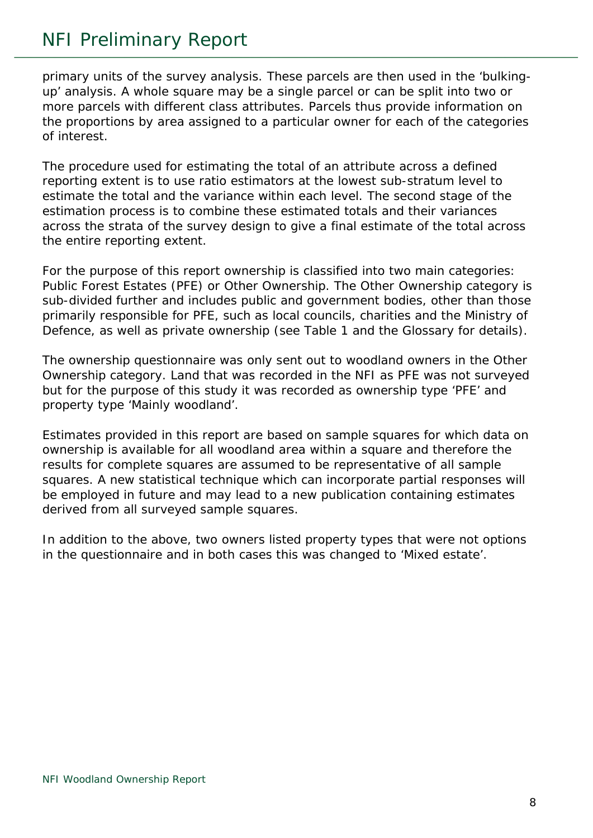### NFI Preliminary Report

primary units of the survey analysis. These parcels are then used in the 'bulkingup' analysis. A whole square may be a single parcel or can be split into two or more parcels with different class attributes. Parcels thus provide information on the proportions by area assigned to a particular owner for each of the categories of interest.

The procedure used for estimating the total of an attribute across a defined reporting extent is to use ratio estimators at the lowest sub-stratum level to estimate the total and the variance within each level. The second stage of the estimation process is to combine these estimated totals and their variances across the strata of the survey design to give a final estimate of the total across the entire reporting extent.

For the purpose of this report ownership is classified into two main categories: *Public Forest Estates* (PFE) or *Other Ownership*. The *Other Ownership* category is sub-divided further and includes public and government bodies, other than those primarily responsible for PFE, such as local councils, charities and the Ministry of Defence, as well as private ownership (see Table 1 and the Glossary for details).

The ownership questionnaire was only sent out to woodland owners in the *Other Ownership* category. Land that was recorded in the NFI as PFE was not surveyed but for the purpose of this study it was recorded as ownership type 'PFE' and property type 'Mainly woodland'.

Estimates provided in this report are based on sample squares for which data on ownership is available for all woodland area within a square and therefore the results for complete squares are assumed to be representative of all sample squares. A new statistical technique which can incorporate partial responses will be employed in future and may lead to a new publication containing estimates derived from all surveyed sample squares.

In addition to the above, two owners listed property types that were not options in the questionnaire and in both cases this was changed to 'Mixed estate'.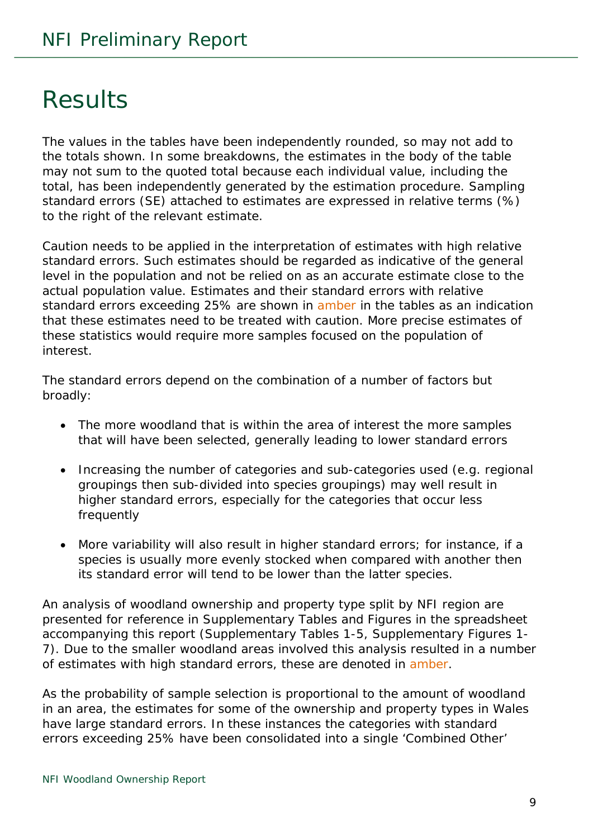# <span id="page-8-0"></span>Results

The values in the tables have been independently rounded, so may not add to the totals shown. In some breakdowns, the estimates in the body of the table may not sum to the quoted total because each individual value, including the total, has been independently generated by the estimation procedure. Sampling standard errors (SE) attached to estimates are expressed in relative terms (%) to the right of the relevant estimate.

Caution needs to be applied in the interpretation of estimates with high relative standard errors. Such estimates should be regarded as indicative of the general level in the population and not be relied on as an accurate estimate close to the actual population value. Estimates and their standard errors with relative standard errors exceeding 25% are shown in amber in the tables as an indication that these estimates need to be treated with caution. More precise estimates of these statistics would require more samples focused on the population of interest.

The standard errors depend on the combination of a number of factors but broadly:

- The more woodland that is within the area of interest the more samples that will have been selected, generally leading to lower standard errors
- Increasing the number of categories and sub-categories used (e.g. regional groupings then sub-divided into species groupings) may well result in higher standard errors, especially for the categories that occur less frequently
- More variability will also result in higher standard errors; for instance, if a species is usually more evenly stocked when compared with another then its standard error will tend to be lower than the latter species.

An analysis of woodland ownership and property type split by NFI region are presented for reference in Supplementary Tables and Figures in the spreadsheet accompanying this report (Supplementary Tables 1-5, Supplementary Figures 1- 7). Due to the smaller woodland areas involved this analysis resulted in a number of estimates with high standard errors, these are denoted in amber.

As the probability of sample selection is proportional to the amount of woodland in an area, the estimates for some of the ownership and property types in Wales have large standard errors. In these instances the categories with standard errors exceeding 25% have been consolidated into a single 'Combined Other'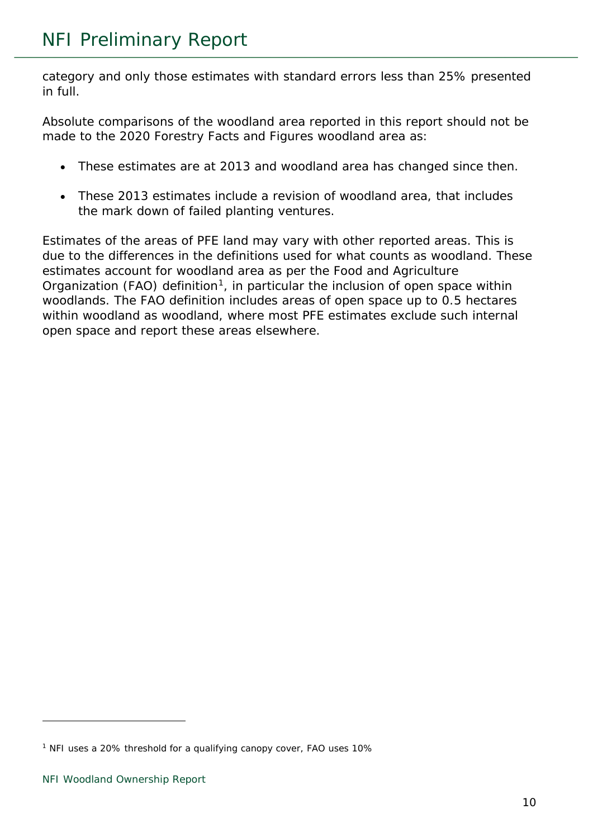category and only those estimates with standard errors less than 25% presented in full.

Absolute comparisons of the woodland area reported in this report should not be made to the 2020 Forestry Facts and Figures woodland area as:

- These estimates are at 2013 and woodland area has changed since then.
- These 2013 estimates include a revision of woodland area, that includes the mark down of failed planting ventures.

Estimates of the areas of PFE land may vary with other reported areas. This is due to the differences in the definitions used for what counts as woodland. These estimates account for woodland area as per the Food and Agriculture Organization (FAO) definition<sup>1</sup>, in particular the inclusion of open space within woodlands. The FAO definition includes areas of open space up to 0.5 hectares within woodland as woodland, where most PFE estimates exclude such internal open space and report these areas elsewhere.

<span id="page-9-0"></span><sup>1</sup> NFI uses a 20% threshold for a qualifying canopy cover, FAO uses 10%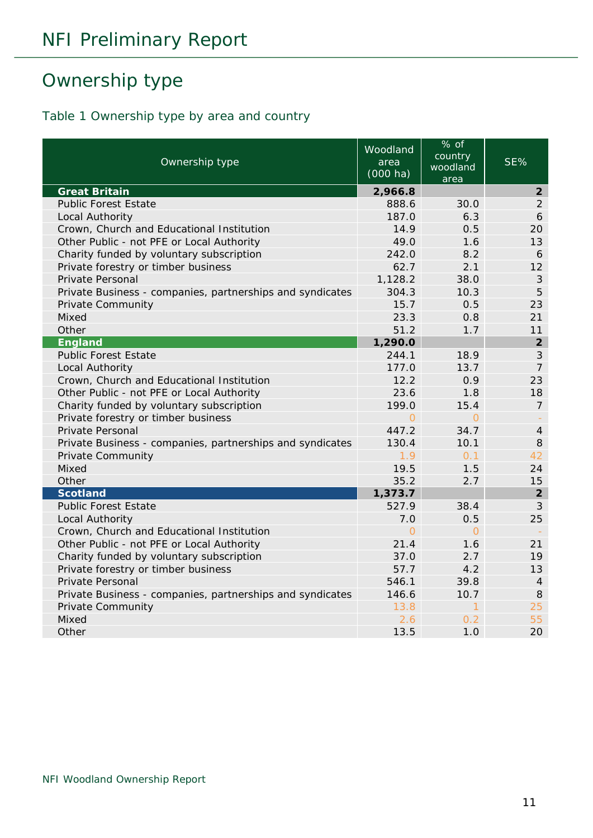# <span id="page-10-0"></span>Ownership type

#### <span id="page-10-1"></span>Table 1 Ownership type by area and country

| Ownership type                                            | Woodland<br>area<br>$(000 \text{ ha})$ | % of<br>country<br>woodland<br>area | SE%            |
|-----------------------------------------------------------|----------------------------------------|-------------------------------------|----------------|
| <b>Great Britain</b>                                      | 2,966.8                                |                                     | $\overline{2}$ |
| <b>Public Forest Estate</b>                               | 888.6                                  | 30.0                                | $\overline{2}$ |
| Local Authority                                           | 187.0                                  | 6.3                                 | 6              |
| Crown, Church and Educational Institution                 | 14.9                                   | 0.5                                 | 20             |
| Other Public - not PFE or Local Authority                 | 49.0                                   | 1.6                                 | 13             |
| Charity funded by voluntary subscription                  | 242.0                                  | 8.2                                 | 6              |
| Private forestry or timber business                       | 62.7                                   | 2.1                                 | 12             |
| Private Personal                                          | 1,128.2                                | 38.0                                | 3              |
| Private Business - companies, partnerships and syndicates | 304.3                                  | 10.3                                | 5              |
| Private Community                                         | 15.7                                   | 0.5                                 | 23             |
| Mixed                                                     | 23.3                                   | 0.8                                 | 21             |
| Other                                                     | 51.2                                   | 1.7                                 | 11             |
| England                                                   | 1,290.0                                |                                     | $\overline{2}$ |
| <b>Public Forest Estate</b>                               | 244.1                                  | 18.9                                | $\mathcal{S}$  |
| Local Authority                                           | 177.0                                  | 13.7                                | $\overline{7}$ |
| Crown, Church and Educational Institution                 | 12.2                                   | 0.9                                 | 23             |
| Other Public - not PFE or Local Authority                 | 23.6                                   | 1.8                                 | 18             |
| Charity funded by voluntary subscription                  | 199.0                                  | 15.4                                | 7              |
| Private forestry or timber business                       | $\Omega$                               | $\overline{O}$                      |                |
| Private Personal                                          | 447.2                                  | 34.7                                | $\overline{4}$ |
| Private Business - companies, partnerships and syndicates | 130.4                                  | 10.1                                | 8              |
| <b>Private Community</b>                                  | 1.9                                    | 0.1                                 | 42             |
| Mixed                                                     | 19.5                                   | 1.5                                 | 24             |
| Other                                                     | 35.2                                   | 2.7                                 | 15             |
| <b>Scotland</b>                                           | 1,373.7                                |                                     | $\overline{2}$ |
| <b>Public Forest Estate</b>                               | 527.9                                  | 38.4                                | $\mathcal{S}$  |
| Local Authority                                           | 7.0                                    | 0.5                                 | 25             |
| Crown, Church and Educational Institution                 | $\Omega$                               | $\Omega$                            |                |
| Other Public - not PFE or Local Authority                 | 21.4                                   | 1.6                                 | 21             |
| Charity funded by voluntary subscription                  | 37.0                                   | 2.7                                 | 19             |
| Private forestry or timber business                       | 57.7                                   | 4.2                                 | 13             |
| Private Personal                                          | 546.1                                  | 39.8                                | $\overline{4}$ |
| Private Business - companies, partnerships and syndicates | 146.6                                  | 10.7                                | 8              |
| <b>Private Community</b>                                  | 13.8                                   | 1                                   | 25             |
| Mixed                                                     | 2.6                                    | 0.2                                 | 55             |
| Other                                                     | 13.5                                   | 1.0                                 | 20             |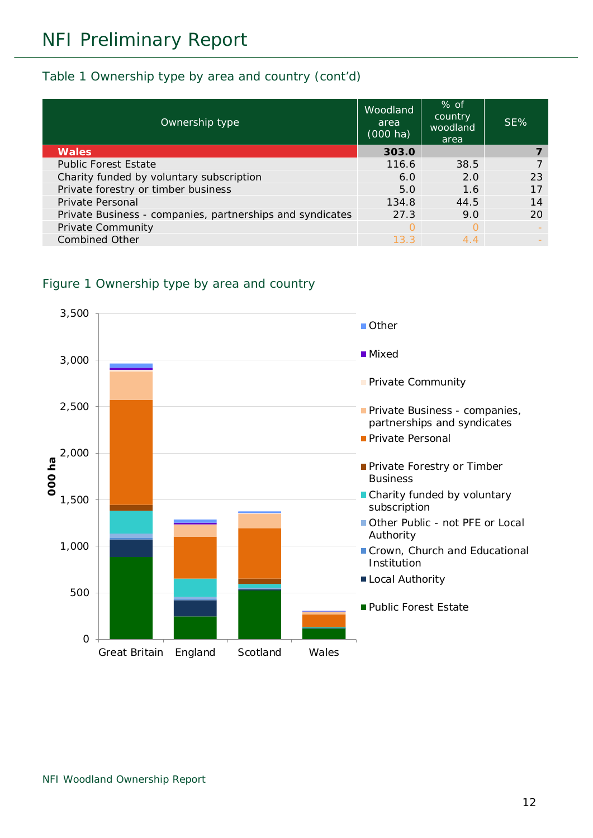#### Table 1 Ownership type by area and country (cont'd)

| Ownership type                                            | Woodland<br>area<br>$(000 \text{ ha})$ | $%$ of<br>country<br>woodland<br>area | SE% |
|-----------------------------------------------------------|----------------------------------------|---------------------------------------|-----|
| <b>Wales</b>                                              | 303.0                                  |                                       |     |
| <b>Public Forest Estate</b>                               | 116.6                                  | 38.5                                  |     |
| Charity funded by voluntary subscription                  | 6.0                                    | 2.0                                   | 23  |
| Private forestry or timber business                       | 5.0                                    | 1.6                                   | 17  |
| Private Personal                                          | 134.8                                  | 44.5                                  | 14  |
| Private Business - companies, partnerships and syndicates | 27.3                                   | 9.0                                   | 20  |
| <b>Private Community</b>                                  | ∩                                      |                                       |     |
| <b>Combined Other</b>                                     | 13.3                                   | 4.4                                   |     |

#### <span id="page-11-0"></span>Figure 1 Ownership type by area and country

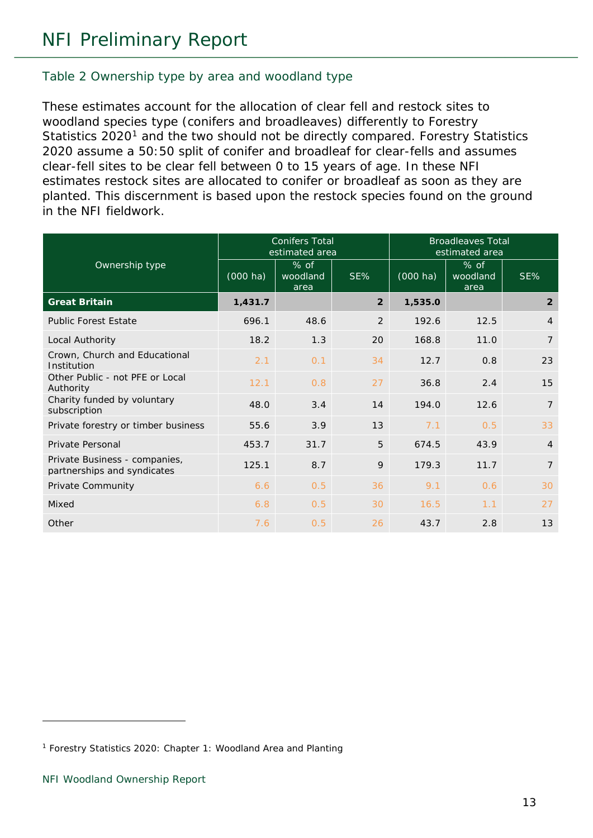#### <span id="page-12-0"></span>Table 2 Ownership type by area and woodland type

These estimates account for the allocation of clear fell and restock sites to woodland species type (conifers and broadleaves) differently to Forestry Statistics 2020<sup>[1](#page-12-1)</sup> and the two should not be directly compared. Forestry Statistics 2020 assume a 50:50 split of conifer and broadleaf for clear-fells and assumes clear-fell sites to be clear fell between 0 to 15 years of age. In these NFI estimates restock sites are allocated to conifer or broadleaf as soon as they are planted. This discernment is based upon the restock species found on the ground in the NFI fieldwork.

|                                                              | <b>Conifers Total</b><br>estimated area |                            |                | <b>Broadleaves Total</b><br>estimated area |                            |                |
|--------------------------------------------------------------|-----------------------------------------|----------------------------|----------------|--------------------------------------------|----------------------------|----------------|
| Ownership type                                               | $(000 \text{ ha})$                      | $%$ of<br>woodland<br>area | SE%            | $(000 \text{ ha})$                         | $%$ of<br>woodland<br>area | SE%            |
| <b>Great Britain</b>                                         | 1,431.7                                 |                            | $\overline{2}$ | 1,535.0                                    |                            | $\overline{2}$ |
| <b>Public Forest Estate</b>                                  | 696.1                                   | 48.6                       | 2              | 192.6                                      | 12.5                       | $\overline{4}$ |
| Local Authority                                              | 18.2                                    | 1.3                        | 20             | 168.8                                      | 11.0                       | $\overline{7}$ |
| Crown, Church and Educational<br>Institution                 | 2.1                                     | 0.1                        | 34             | 12.7                                       | 0.8                        | 23             |
| Other Public - not PFE or Local<br>Authority                 | 12.1                                    | 0.8                        | 27             | 36.8                                       | 2.4                        | 15             |
| Charity funded by voluntary<br>subscription                  | 48.0                                    | 3.4                        | 14             | 194.0                                      | 12.6                       | $\overline{7}$ |
| Private forestry or timber business                          | 55.6                                    | 3.9                        | 13             | 7.1                                        | 0.5                        | 33             |
| Private Personal                                             | 453.7                                   | 31.7                       | 5              | 674.5                                      | 43.9                       | $\overline{4}$ |
| Private Business - companies,<br>partnerships and syndicates | 125.1                                   | 8.7                        | 9              | 179.3                                      | 11.7                       | $\overline{7}$ |
| Private Community                                            | 6.6                                     | 0.5                        | 36             | 9.1                                        | 0.6                        | 30             |
| Mixed                                                        | 6.8                                     | 0.5                        | 30             | 16.5                                       | 1.1                        | 27             |
| Other                                                        | 7.6                                     | 0.5                        | 26             | 43.7                                       | 2.8                        | 13             |

<span id="page-12-1"></span><sup>1</sup> Forestry Statistics 2020: Chapter 1: Woodland Area and Planting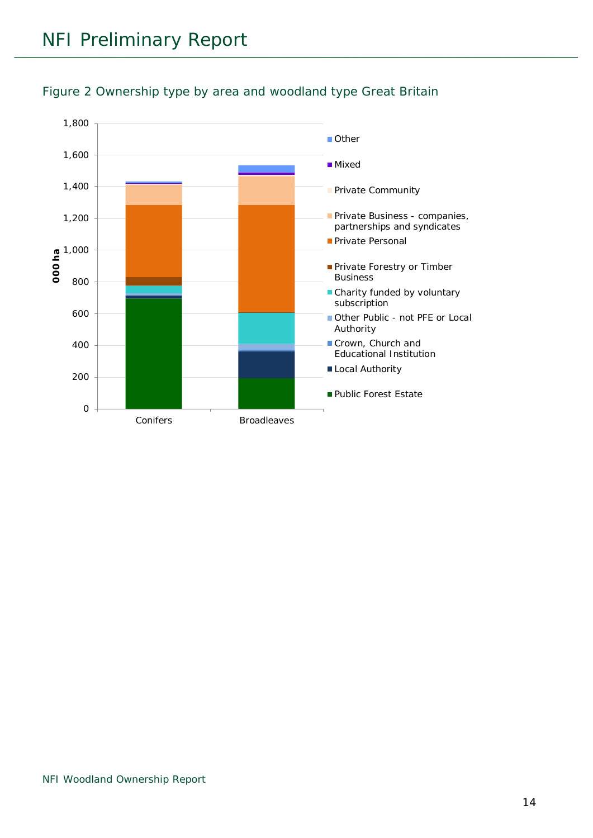

<span id="page-13-0"></span>Figure 2 Ownership type by area and woodland type Great Britain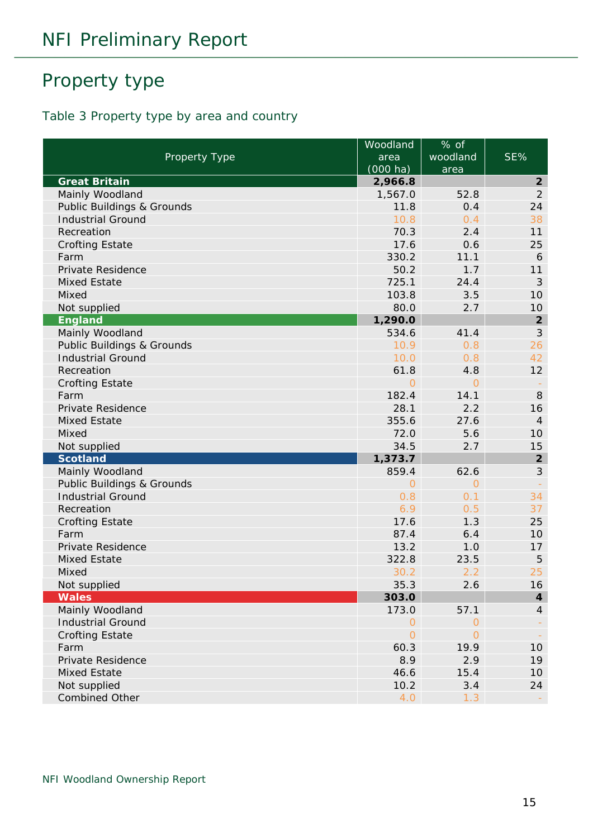# <span id="page-14-0"></span>Property type

#### <span id="page-14-1"></span>Table 3 Property type by area and country

|                                       | Woodland | % of           |                             |
|---------------------------------------|----------|----------------|-----------------------------|
| Property Type                         | area     | woodland       | SE%                         |
|                                       | (000 ha) | area           |                             |
| <b>Great Britain</b>                  | 2,966.8  |                | $\overline{2}$              |
| Mainly Woodland                       | 1,567.0  | 52.8           | $\overline{2}$              |
| Public Buildings & Grounds            | 11.8     | 0.4            | 24                          |
| <b>Industrial Ground</b>              | 10.8     | 0.4            | 38                          |
| Recreation                            | 70.3     | 2.4            | 11                          |
| <b>Crofting Estate</b>                | 17.6     | 0.6            | 25                          |
| Farm                                  | 330.2    | 11.1           | 6                           |
| Private Residence                     | 50.2     | 1.7            | 11                          |
| <b>Mixed Estate</b>                   | 725.1    | 24.4           | $\mathcal{S}_{\mathcal{S}}$ |
| Mixed                                 | 103.8    | 3.5            | 10                          |
| Not supplied                          | 80.0     | 2.7            | 10                          |
| <b>England</b>                        | 1,290.0  |                | $\boldsymbol{2}$            |
| Mainly Woodland                       | 534.6    | 41.4           | $\mathfrak{Z}$              |
| Public Buildings & Grounds            | 10.9     | 0.8            | 26                          |
| <b>Industrial Ground</b>              | 10.0     | 0.8            | 42                          |
| Recreation                            | 61.8     | 4.8            | 12                          |
| <b>Crofting Estate</b>                | $\Omega$ | $\Omega$       |                             |
| Farm                                  | 182.4    | 14.1           | 8                           |
| Private Residence                     | 28.1     | 2.2            | 16                          |
| <b>Mixed Estate</b>                   | 355.6    | 27.6           | $\overline{4}$              |
| Mixed                                 | 72.0     | 5.6            | 10                          |
| Not supplied                          | 34.5     | 2.7            | 15                          |
| <b>Scotland</b>                       | 1,373.7  |                | $\boldsymbol{2}$            |
| Mainly Woodland                       | 859.4    | 62.6           | $\mathcal{S}$               |
| <b>Public Buildings &amp; Grounds</b> | $\Omega$ | 0              |                             |
| <b>Industrial Ground</b>              | 0.8      | 0.1            | 34                          |
| Recreation                            | 6.9      | 0.5            | 37                          |
| <b>Crofting Estate</b>                | 17.6     | 1.3            | 25                          |
| Farm                                  | 87.4     | 6.4            | 10                          |
| Private Residence                     | 13.2     | 1.0            | 17                          |
| <b>Mixed Estate</b>                   | 322.8    | 23.5           | 5                           |
| Mixed                                 | 30.2     | 2.2            | 25                          |
| Not supplied                          | 35.3     | 2.6            | 16                          |
| <b>Wales</b>                          | 303.0    |                | $\boldsymbol{4}$            |
| Mainly Woodland                       | 173.0    | 57.1           | $\overline{4}$              |
| <b>Industrial Ground</b>              | $\Omega$ | 0              |                             |
| <b>Crofting Estate</b>                | $\Omega$ | $\overline{O}$ |                             |
| Farm                                  | 60.3     | 19.9           | 10                          |
| Private Residence                     | 8.9      | 2.9            | 19                          |
| <b>Mixed Estate</b>                   | 46.6     | 15.4           | 10                          |
| Not supplied                          | 10.2     | 3.4            | 24                          |
| <b>Combined Other</b>                 | 4.0      | 1.3            |                             |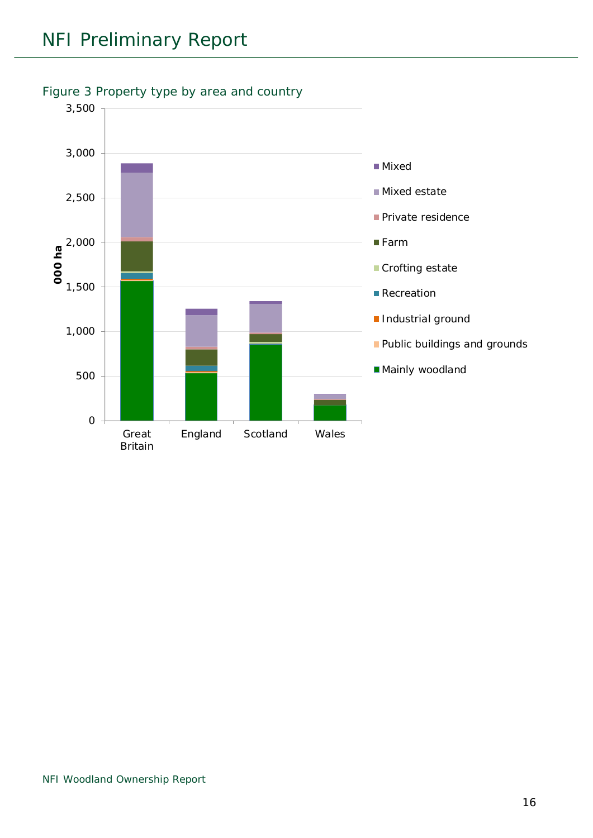

#### <span id="page-15-0"></span>Figure 3 Property type by area and country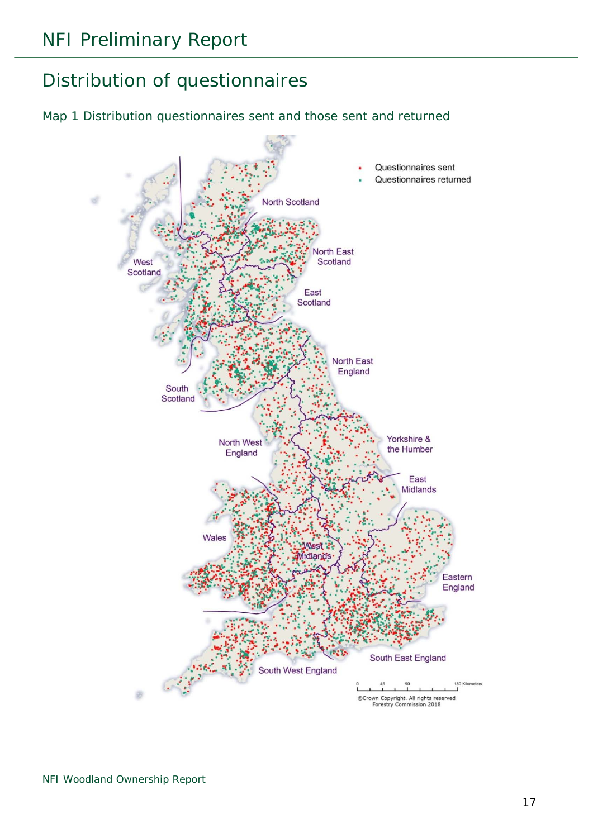# <span id="page-16-0"></span>Distribution of questionnaires

#### <span id="page-16-1"></span>Map 1 Distribution questionnaires sent and those sent and returned

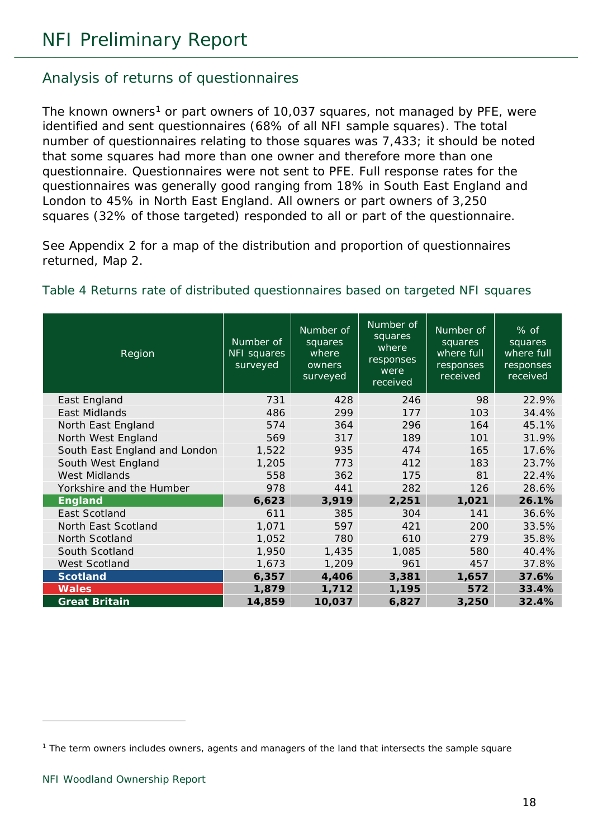#### <span id="page-17-0"></span>Analysis of returns of questionnaires

The known owners<sup>[1](#page-17-2)</sup> or part owners of 10,037 squares, not managed by PFE, were identified and sent questionnaires (68% of all NFI sample squares). The total number of questionnaires relating to those squares was 7,433; it should be noted that some squares had more than one owner and therefore more than one questionnaire. Questionnaires were not sent to PFE. Full response rates for the questionnaires was generally good ranging from 18% in South East England and London to 45% in North East England. All owners or part owners of 3,250 squares (32% of those targeted) responded to all or part of the questionnaire.

See Appendix 2 for a map of the distribution and proportion of questionnaires returned, Map 2.

| Region                        | Number of<br>NFI squares<br>surveyed | Number of<br>squares<br>where<br>owners<br>surveyed | Number of<br>squares<br>where<br>responses<br>were<br>received | Number of<br>squares<br>where full<br>responses<br>received | % of<br>squares<br>where full<br>responses<br>received |
|-------------------------------|--------------------------------------|-----------------------------------------------------|----------------------------------------------------------------|-------------------------------------------------------------|--------------------------------------------------------|
| East England                  | 731                                  | 428                                                 | 246                                                            | 98                                                          | 22.9%                                                  |
| East Midlands                 | 486                                  | 299                                                 | 177                                                            | 103                                                         | 34.4%                                                  |
| North East England            | 574                                  | 364                                                 | 296                                                            | 164                                                         | 45.1%                                                  |
| North West England            | 569                                  | 317                                                 | 189                                                            | 101                                                         | 31.9%                                                  |
| South East England and London | 1,522                                | 935                                                 | 474                                                            | 165                                                         | 17.6%                                                  |
| South West England            | 1,205                                | 773                                                 | 412                                                            | 183                                                         | 23.7%                                                  |
| <b>West Midlands</b>          | 558                                  | 362                                                 | 175                                                            | 81                                                          | 22.4%                                                  |
| Yorkshire and the Humber      | 978                                  | 441                                                 | 282                                                            | 126                                                         | 28.6%                                                  |
| <b>England</b>                | 6,623                                | 3,919                                               | 2,251                                                          | 1,021                                                       | 26.1%                                                  |
| East Scotland                 | 611                                  | 385                                                 | 304                                                            | 141                                                         | 36.6%                                                  |
| North East Scotland           | 1,071                                | 597                                                 | 421                                                            | 200                                                         | 33.5%                                                  |
| North Scotland                | 1,052                                | 780                                                 | 610                                                            | 279                                                         | 35.8%                                                  |
| South Scotland                | 1,950                                | 1,435                                               | 1,085                                                          | 580                                                         | 40.4%                                                  |
| West Scotland                 | 1,673                                | 1,209                                               | 961                                                            | 457                                                         | 37.8%                                                  |
| <b>Scotland</b>               | 6,357                                | 4,406                                               | 3,381                                                          | 1,657                                                       | 37.6%                                                  |
| <b>Wales</b>                  | 1,879                                | 1,712                                               | 1,195                                                          | 572                                                         | 33.4%                                                  |
| <b>Great Britain</b>          | 14,859                               | 10,037                                              | 6,827                                                          | 3,250                                                       | 32.4%                                                  |

#### <span id="page-17-1"></span>Table 4 Returns rate of distributed questionnaires based on targeted NFI squares

<span id="page-17-2"></span><sup>&</sup>lt;sup>1</sup> The term owners includes owners, agents and managers of the land that intersects the sample square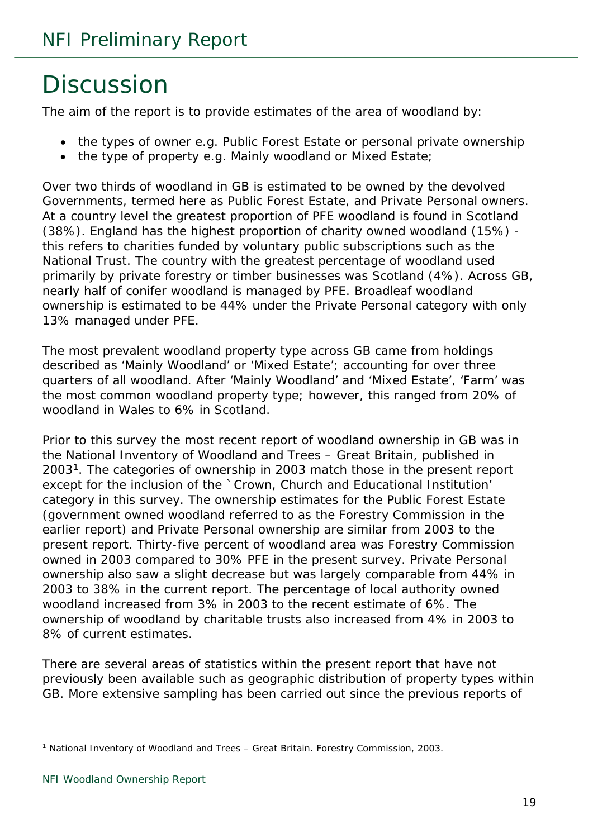# <span id="page-18-0"></span>**Discussion**

The aim of the report is to provide estimates of the area of woodland by:

- the types of owner e.g. Public Forest Estate or personal private ownership
- the type of property e.g. Mainly woodland or Mixed Estate;

Over two thirds of woodland in GB is estimated to be owned by the devolved Governments, termed here as Public Forest Estate, and Private Personal owners. At a country level the greatest proportion of PFE woodland is found in Scotland (38%). England has the highest proportion of charity owned woodland (15%) this refers to charities funded by voluntary public subscriptions such as the National Trust. The country with the greatest percentage of woodland used primarily by private forestry or timber businesses was Scotland (4%). Across GB, nearly half of conifer woodland is managed by PFE. Broadleaf woodland ownership is estimated to be 44% under the Private Personal category with only 13% managed under PFE.

The most prevalent woodland property type across GB came from holdings described as 'Mainly Woodland' or 'Mixed Estate'; accounting for over three quarters of all woodland. After 'Mainly Woodland' and 'Mixed Estate', 'Farm' was the most common woodland property type; however, this ranged from 20% of woodland in Wales to 6% in Scotland.

Prior to this survey the most recent report of woodland ownership in GB was in the National Inventory of Woodland and Trees – Great Britain, published in 2003[1.](#page-18-1) The categories of ownership in 2003 match those in the present report except for the inclusion of the `Crown, Church and Educational Institution' category in this survey. The ownership estimates for the Public Forest Estate (government owned woodland referred to as the Forestry Commission in the earlier report) and Private Personal ownership are similar from 2003 to the present report. Thirty-five percent of woodland area was Forestry Commission owned in 2003 compared to 30% PFE in the present survey. Private Personal ownership also saw a slight decrease but was largely comparable from 44% in 2003 to 38% in the current report. The percentage of local authority owned woodland increased from 3% in 2003 to the recent estimate of 6%. The ownership of woodland by charitable trusts also increased from 4% in 2003 to 8% of current estimates.

There are several areas of statistics within the present report that have not previously been available such as geographic distribution of property types within GB. More extensive sampling has been carried out since the previous reports of

<span id="page-18-1"></span><sup>1</sup> National Inventory of Woodland and Trees – Great Britain. Forestry Commission, 2003.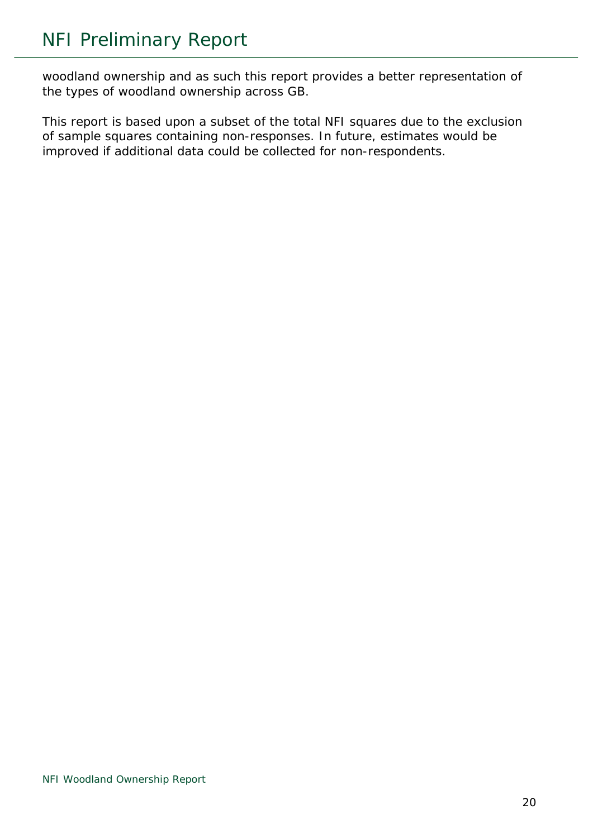woodland ownership and as such this report provides a better representation of the types of woodland ownership across GB.

This report is based upon a subset of the total NFI squares due to the exclusion of sample squares containing non-responses. In future, estimates would be improved if additional data could be collected for non-respondents.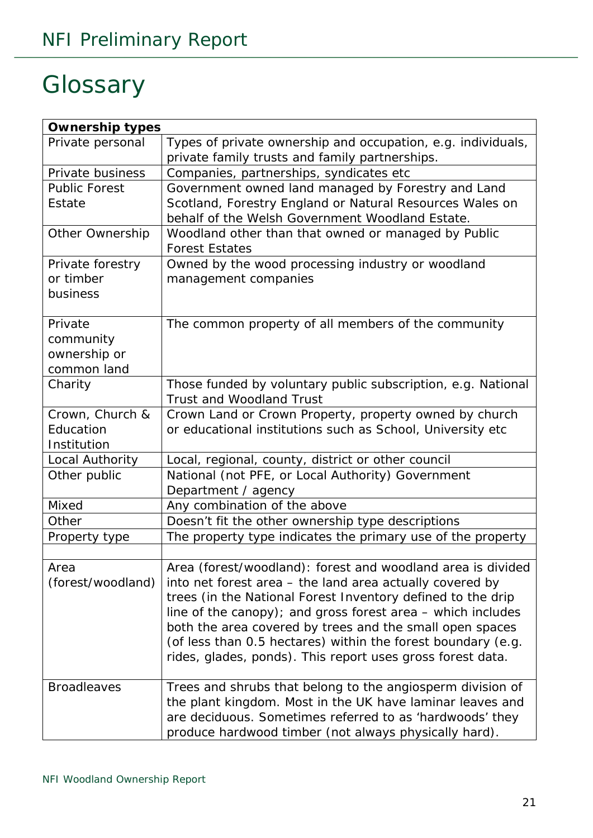# <span id="page-20-0"></span>**Glossary**

| <b>Ownership types</b> |                                                               |
|------------------------|---------------------------------------------------------------|
| Private personal       | Types of private ownership and occupation, e.g. individuals,  |
|                        | private family trusts and family partnerships.                |
| Private business       | Companies, partnerships, syndicates etc                       |
| <b>Public Forest</b>   | Government owned land managed by Forestry and Land            |
| Estate                 | Scotland, Forestry England or Natural Resources Wales on      |
|                        | behalf of the Welsh Government Woodland Estate.               |
| <b>Other Ownership</b> | Woodland other than that owned or managed by Public           |
|                        | <b>Forest Estates</b>                                         |
| Private forestry       | Owned by the wood processing industry or woodland             |
| or timber              | management companies                                          |
| business               |                                                               |
|                        |                                                               |
| Private                | The common property of all members of the community           |
| community              |                                                               |
| ownership or           |                                                               |
| common land            |                                                               |
| Charity                | Those funded by voluntary public subscription, e.g. National  |
|                        | <b>Trust and Woodland Trust</b>                               |
| Crown, Church &        | Crown Land or Crown Property, property owned by church        |
| Education              | or educational institutions such as School, University etc    |
| Institution            |                                                               |
| Local Authority        | Local, regional, county, district or other council            |
| Other public           | National (not PFE, or Local Authority) Government             |
|                        | Department / agency                                           |
| Mixed                  | Any combination of the above                                  |
| Other                  | Doesn't fit the other ownership type descriptions             |
| Property type          | The property type indicates the primary use of the property   |
|                        |                                                               |
| Area                   | Area (forest/woodland): forest and woodland area is divided   |
| (forest/woodland)      | into net forest area – the land area actually covered by      |
|                        | trees (in the National Forest Inventory defined to the drip   |
|                        | line of the canopy); and gross forest area $-$ which includes |
|                        | both the area covered by trees and the small open spaces      |
|                        | (of less than 0.5 hectares) within the forest boundary (e.g.  |
|                        | rides, glades, ponds). This report uses gross forest data.    |
|                        |                                                               |
| <b>Broadleaves</b>     | Trees and shrubs that belong to the angiosperm division of    |
|                        | the plant kingdom. Most in the UK have laminar leaves and     |
|                        | are deciduous. Sometimes referred to as 'hardwoods' they      |
|                        | produce hardwood timber (not always physically hard).         |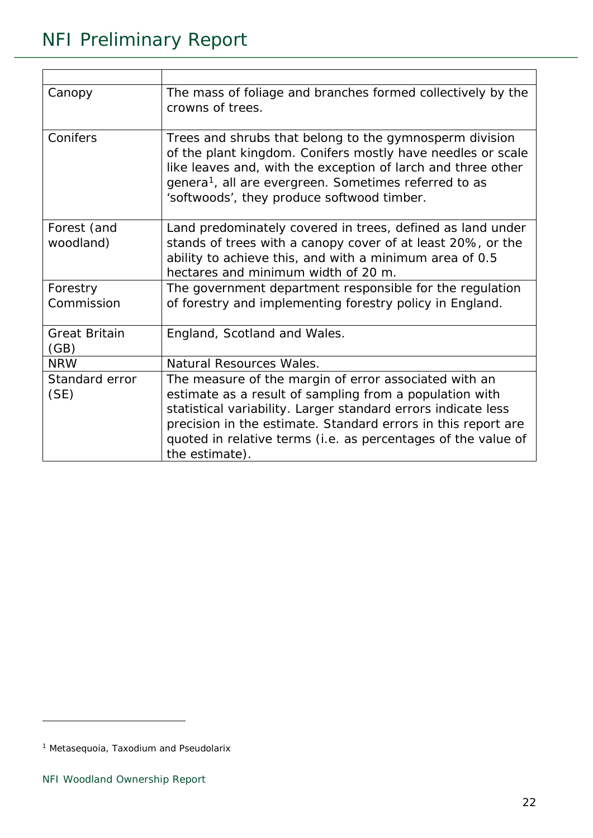| Canopy                       | The mass of foliage and branches formed collectively by the<br>crowns of trees.                                                                                                                                                                                                                                                       |
|------------------------------|---------------------------------------------------------------------------------------------------------------------------------------------------------------------------------------------------------------------------------------------------------------------------------------------------------------------------------------|
| Conifers                     | Trees and shrubs that belong to the gymnosperm division<br>of the plant kingdom. Conifers mostly have needles or scale<br>like leaves and, with the exception of larch and three other<br>genera <sup>1</sup> , all are evergreen. Sometimes referred to as<br>'softwoods', they produce softwood timber.                             |
| Forest (and<br>woodland)     | Land predominately covered in trees, defined as land under<br>stands of trees with a canopy cover of at least 20%, or the<br>ability to achieve this, and with a minimum area of 0.5<br>hectares and minimum width of 20 m.                                                                                                           |
| Forestry<br>Commission       | The government department responsible for the regulation<br>of forestry and implementing forestry policy in England.                                                                                                                                                                                                                  |
| <b>Great Britain</b><br>(GB) | England, Scotland and Wales.                                                                                                                                                                                                                                                                                                          |
| <b>NRW</b>                   | Natural Resources Wales.                                                                                                                                                                                                                                                                                                              |
| Standard error<br>(SE)       | The measure of the margin of error associated with an<br>estimate as a result of sampling from a population with<br>statistical variability. Larger standard errors indicate less<br>precision in the estimate. Standard errors in this report are<br>quoted in relative terms (i.e. as percentages of the value of<br>the estimate). |

<span id="page-21-0"></span><sup>1</sup> *Metasequoia*, *Taxodium* and *Pseudolarix*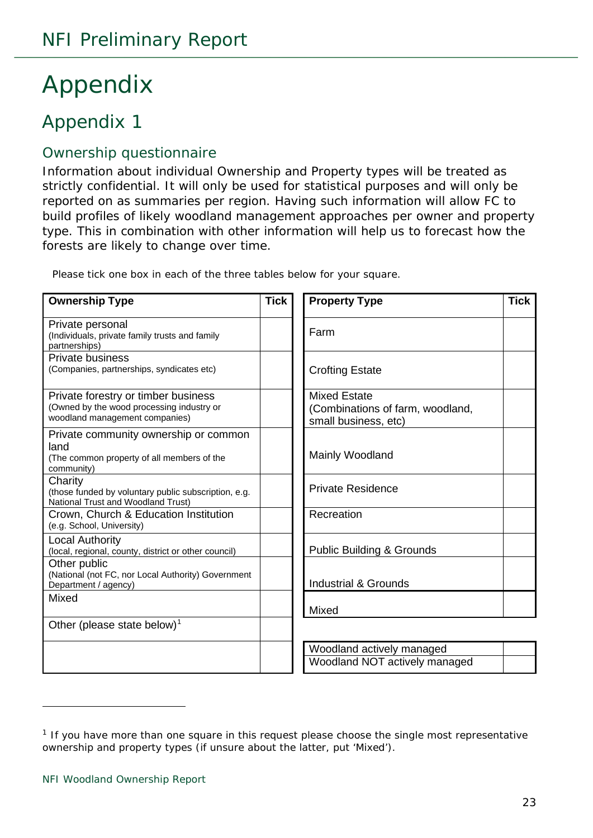# <span id="page-22-0"></span>Appendix

# <span id="page-22-1"></span>Appendix 1

#### <span id="page-22-2"></span>Ownership questionnaire

Information about individual Ownership and Property types will be treated as strictly confidential. It will only be used for statistical purposes and will only be reported on as summaries per region. Having such information will allow FC to build profiles of likely woodland management approaches per owner and property type. This in combination with other information will help us to forecast how the forests are likely to change over time.

Please tick one box in each of the three tables below for your square.

| <b>Ownership Type</b>                                                                                              | <b>Tick</b> | <b>Property Type</b>                                                            | <b>Tick</b> |
|--------------------------------------------------------------------------------------------------------------------|-------------|---------------------------------------------------------------------------------|-------------|
| Private personal<br>(Individuals, private family trusts and family<br>partnerships)                                |             | Farm                                                                            |             |
| <b>Private business</b><br>(Companies, partnerships, syndicates etc)                                               |             | <b>Crofting Estate</b>                                                          |             |
| Private forestry or timber business<br>(Owned by the wood processing industry or<br>woodland management companies) |             | <b>Mixed Estate</b><br>(Combinations of farm, woodland,<br>small business, etc) |             |
| Private community ownership or common<br>land<br>(The common property of all members of the<br>community)          |             | Mainly Woodland                                                                 |             |
| Charity<br>(those funded by voluntary public subscription, e.g.<br>National Trust and Woodland Trust)              |             | <b>Private Residence</b>                                                        |             |
| Crown, Church & Education Institution<br>(e.g. School, University)                                                 |             | Recreation                                                                      |             |
| <b>Local Authority</b><br>(local, regional, county, district or other council)<br>Other public                     |             | <b>Public Building &amp; Grounds</b>                                            |             |
| (National (not FC, nor Local Authority) Government<br>Department / agency)                                         |             | <b>Industrial &amp; Grounds</b>                                                 |             |
| <b>Mixed</b>                                                                                                       |             | Mixed                                                                           |             |
| Other (please state below) <sup>1</sup>                                                                            |             |                                                                                 |             |
|                                                                                                                    |             | Woodland actively managed                                                       |             |
|                                                                                                                    |             | Woodland NOT actively managed                                                   |             |

<span id="page-22-3"></span> $1$  If you have more than one square in this request please choose the single most representative ownership and property types (if unsure about the latter, put 'Mixed').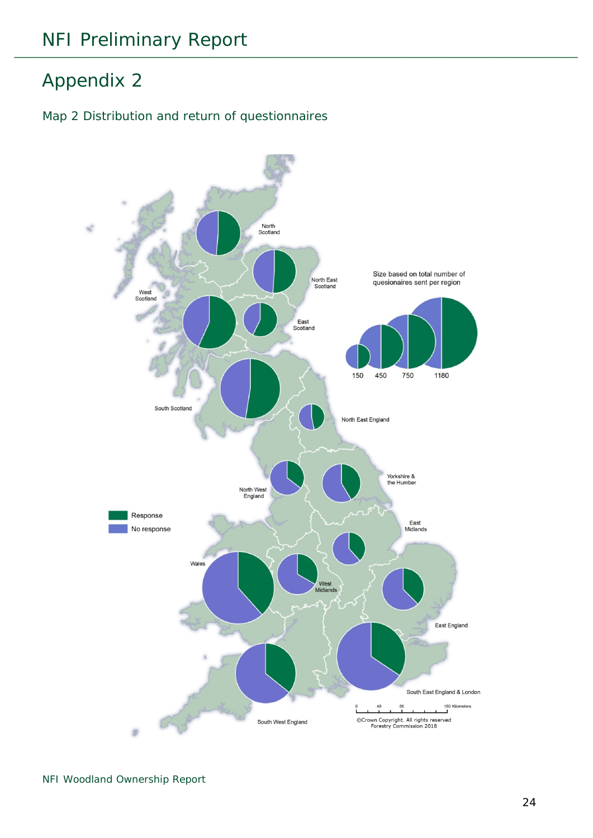# <span id="page-23-0"></span>Appendix 2

#### <span id="page-23-1"></span>Map 2 Distribution and return of questionnaires

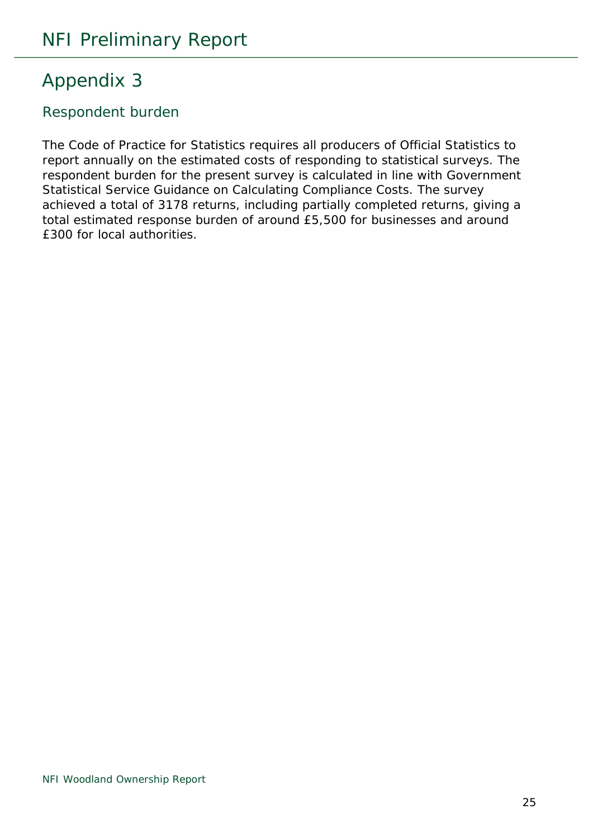# <span id="page-24-0"></span>Appendix 3

#### <span id="page-24-1"></span>Respondent burden

The Code of Practice for Statistics requires all producers of Official Statistics to report annually on the estimated costs of responding to statistical surveys. The respondent burden for the present survey is calculated in line with Government Statistical Service Guidance on Calculating Compliance Costs. The survey achieved a total of 3178 returns, including partially completed returns, giving a total estimated response burden of around £5,500 for businesses and around £300 for local authorities.